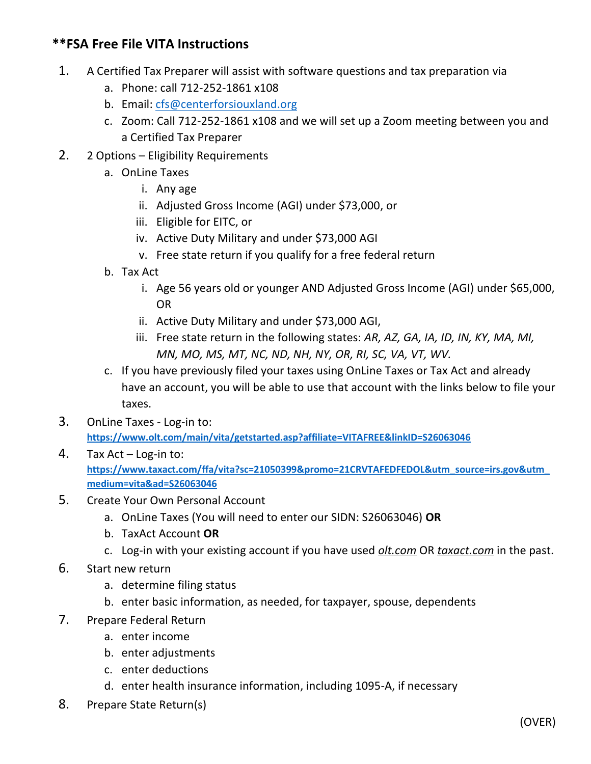## **\*\*FSA Free File VITA Instructions**

- 1. A Certified Tax Preparer will assist with software questions and tax preparation via
	- a. Phone: call 712-252-1861 x108
	- b. Email: [cfs@centerforsiouxland.org](mailto:cfs@centerforsiouxland.org)
	- c. Zoom: Call 712-252-1861 x108 and we will set up a Zoom meeting between you and a Certified Tax Preparer
- 2. 2 Options Eligibility Requirements
	- a. OnLine Taxes
		- i. Any age
		- ii. Adjusted Gross Income (AGI) under \$73,000, or
		- iii. Eligible for EITC, or
		- iv. Active Duty Military and under \$73,000 AGI
		- v. Free state return if you qualify for a free federal return
	- b. Tax Act
		- i. Age 56 years old or younger AND Adjusted Gross Income (AGI) under \$65,000, OR
		- ii. Active Duty Military and under \$73,000 AGI,
		- iii. Free state return in the following states: *AR, AZ, GA, IA, ID, IN, KY, MA, MI, MN, MO, MS, MT, NC, ND, NH, NY, OR, RI, SC, VA, VT, WV.*
	- c. If you have previously filed your taxes using OnLine Taxes or Tax Act and already have an account, you will be able to use that account with the links below to file your taxes.
- 3. OnLine Taxes Log-in to: **[https://www.olt.com/main/vita/getstarted.asp?affiliate=VITAFREE&linkID=S26063046](https://www.olt.com/main/vita/getstarted.asp?affiliate=VITAFREE&linkID=)**
- 4. Tax Act Log-in to: **[https://www.taxact.com/ffa/vita?sc=21050399&promo=21CRVTAFEDFEDOL&utm\\_source=irs.gov&utm\\_](https://www.taxact.com/ffa/vita?sc=21050399&promo=21CRVTAFEDFEDOL&utm_source=irs.gov&utm_medium=vita&ad=S26063046) [medium=vita&ad=S26063046](https://www.taxact.com/ffa/vita?sc=21050399&promo=21CRVTAFEDFEDOL&utm_source=irs.gov&utm_medium=vita&ad=S26063046)**
- 5. Create Your Own Personal Account
	- a. OnLine Taxes (You will need to enter our SIDN: S26063046) **OR**
	- b. TaxAct Account **OR**
	- c. Log-in with your existing account if you have used *olt.com* OR *taxact.com* in the past.
- 6. Start new return
	- a. determine filing status
	- b. enter basic information, as needed, for taxpayer, spouse, dependents
- 7. Prepare Federal Return
	- a. enter income
	- b. enter adjustments
	- c. enter deductions
	- d. enter health insurance information, including 1095-A, if necessary
- 8. Prepare State Return(s)